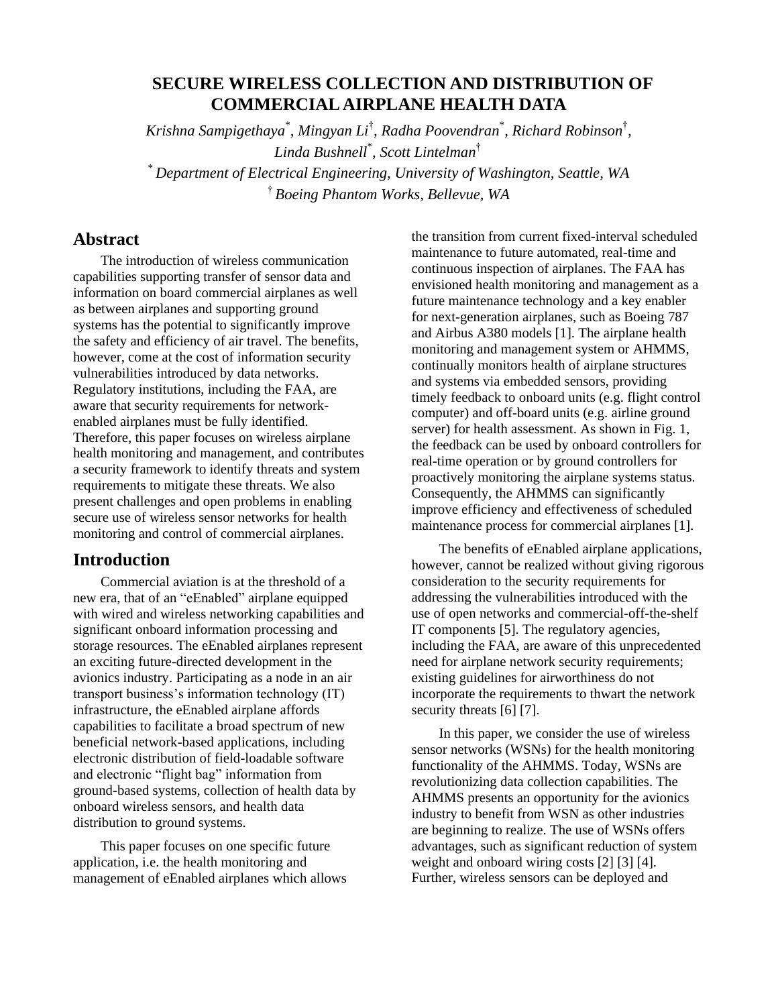# **SECURE WIRELESS COLLECTION AND DISTRIBUTION OF COMMERCIALAIRPLANE HEALTH DATA**

*Krishna Sampigethaya*\* *, Mingyan Li*† *, Radha Poovendran*\* *, Richard Robinson*† *, Linda Bushnell*\* *, Scott Lintelman*† \* *Department of Electrical Engineering, University of Washington, Seattle, WA*

† *Boeing Phantom Works, Bellevue, WA*

## **Abstract**

The introduction of wireless communication capabilities supporting transfer of sensor data and information on board commercial airplanes as well as between airplanes and supporting ground systems has the potential to significantly improve the safety and efficiency of air travel. The benefits, however, come at the cost of information security vulnerabilities introduced by data networks. Regulatory institutions, including the FAA, are aware that security requirements for networkenabled airplanes must be fully identified. Therefore, this paper focuses on wireless airplane health monitoring and management, and contributes a security framework to identify threats and system requirements to mitigate these threats. We also present challenges and open problems in enabling secure use of wireless sensor networks for health monitoring and control of commercial airplanes.

## **Introduction**

Commercial aviation is at the threshold of a new era, that of an "eEnabled" airplane equipped with wired and wireless networking capabilities and significant onboard information processing and storage resources. The eEnabled airplanes represent an exciting future-directed development in the avionics industry. Participating as a node in an air transport business's information technology (IT) infrastructure, the eEnabled airplane affords capabilities to facilitate a broad spectrum of new beneficial network-based applications, including electronic distribution of field-loadable software and electronic "flight bag" information from ground-based systems, collection of health data by onboard wireless sensors, and health data distribution to ground systems.

This paper focuses on one specific future application, i.e. the health monitoring and management of eEnabled airplanes which allows the transition from current fixed-interval scheduled maintenance to future automated, real-time and continuous inspection of airplanes. The FAA has envisioned health monitoring and management as a future maintenance technology and a key enabler for next-generation airplanes, such as Boeing 787 and Airbus A380 models [1]. The airplane health monitoring and management system or AHMMS, continually monitors health of airplane structures and systems via embedded sensors, providing timely feedback to onboard units (e.g. flight control computer) and off-board units (e.g. airline ground server) for health assessment. As shown in Fig. 1, the feedback can be used by onboard controllers for real-time operation or by ground controllers for proactively monitoring the airplane systems status. Consequently, the AHMMS can significantly improve efficiency and effectiveness of scheduled maintenance process for commercial airplanes [1].

The benefits of eEnabled airplane applications, however, cannot be realized without giving rigorous consideration to the security requirements for addressing the vulnerabilities introduced with the use of open networks and commercial-off-the-shelf IT components [5]. The regulatory agencies, including the FAA, are aware of this unprecedented need for airplane network security requirements; existing guidelines for airworthiness do not incorporate the requirements to thwart the network security threats [6] [7].

In this paper, we consider the use of wireless sensor networks (WSNs) for the health monitoring functionality of the AHMMS. Today, WSNs are revolutionizing data collection capabilities. The AHMMS presents an opportunity for the avionics industry to benefit from WSN as other industries are beginning to realize. The use of WSNs offers advantages, such as significant reduction of system weight and onboard wiring costs [2] [3] [4]. Further, wireless sensors can be deployed and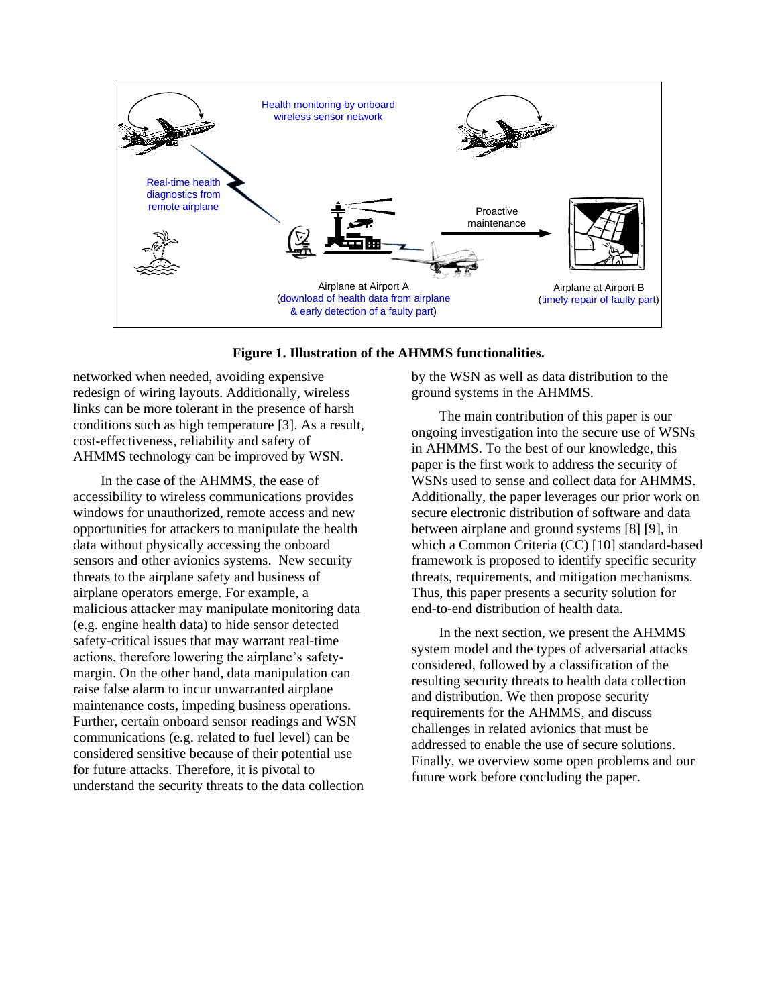

**Figure 1. Illustration of the AHMMS functionalities.**

networked when needed, avoiding expensive redesign of wiring layouts. Additionally, wireless links can be more tolerant in the presence of harsh conditions such as high temperature [3]. As a result, cost-effectiveness, reliability and safety of AHMMS technology can be improved by WSN.

In the case of the AHMMS, the ease of accessibility to wireless communications provides windows for unauthorized, remote access and new opportunities for attackers to manipulate the health data without physically accessing the onboard sensors and other avionics systems. New security threats to the airplane safety and business of airplane operators emerge. For example, a malicious attacker may manipulate monitoring data (e.g. engine health data) to hide sensor detected safety-critical issues that may warrant real-time actions, therefore lowering the airplane's safetymargin. On the other hand, data manipulation can raise false alarm to incur unwarranted airplane maintenance costs, impeding business operations. Further, certain onboard sensor readings and WSN communications (e.g. related to fuel level) can be considered sensitive because of their potential use for future attacks. Therefore, it is pivotal to understand the security threats to the data collection by the WSN as well as data distribution to the ground systems in the AHMMS.

The main contribution of this paper is our ongoing investigation into the secure use of WSNs in AHMMS. To the best of our knowledge, this paper is the first work to address the security of WSNs used to sense and collect data for AHMMS. Additionally, the paper leverages our prior work on secure electronic distribution of software and data between airplane and ground systems [8] [9], in which a Common Criteria (CC) [10] standard-based framework is proposed to identify specific security threats, requirements, and mitigation mechanisms. Thus, this paper presents a security solution for end-to-end distribution of health data.

In the next section, we present the AHMMS system model and the types of adversarial attacks considered, followed by a classification of the resulting security threats to health data collection and distribution. We then propose security requirements for the AHMMS, and discuss challenges in related avionics that must be addressed to enable the use of secure solutions. Finally, we overview some open problems and our future work before concluding the paper.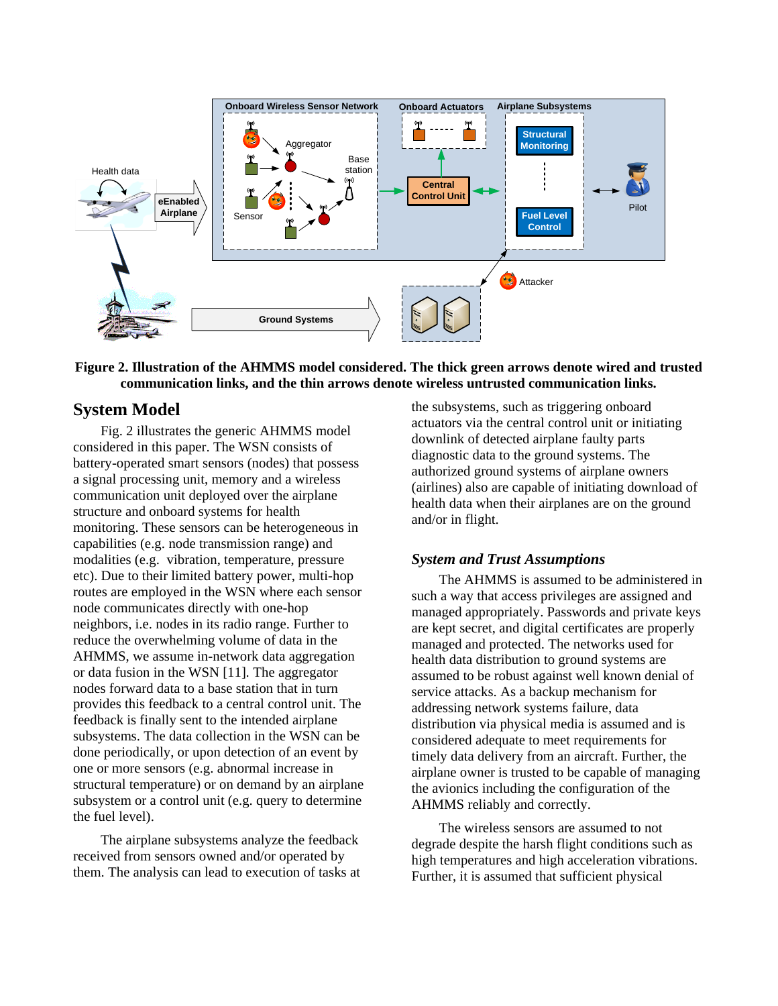

**Figure 2. Illustration of the AHMMS model considered. The thick green arrows denote wired and trusted communication links, and the thin arrows denote wireless untrusted communication links.** 

## **System Model**

Fig. 2 illustrates the generic AHMMS model considered in this paper. The WSN consists of battery-operated smart sensors (nodes) that possess a signal processing unit, memory and a wireless communication unit deployed over the airplane structure and onboard systems for health monitoring. These sensors can be heterogeneous in capabilities (e.g. node transmission range) and modalities (e.g. vibration, temperature, pressure etc). Due to their limited battery power, multi-hop routes are employed in the WSN where each sensor node communicates directly with one-hop neighbors, i.e. nodes in its radio range. Further to reduce the overwhelming volume of data in the AHMMS, we assume in-network data aggregation or data fusion in the WSN [11]. The aggregator nodes forward data to a base station that in turn provides this feedback to a central control unit. The feedback is finally sent to the intended airplane subsystems. The data collection in the WSN can be done periodically, or upon detection of an event by one or more sensors (e.g. abnormal increase in structural temperature) or on demand by an airplane subsystem or a control unit (e.g. query to determine the fuel level).

The airplane subsystems analyze the feedback received from sensors owned and/or operated by them. The analysis can lead to execution of tasks at the subsystems, such as triggering onboard actuators via the central control unit or initiating downlink of detected airplane faulty parts diagnostic data to the ground systems. The authorized ground systems of airplane owners (airlines) also are capable of initiating download of health data when their airplanes are on the ground and/or in flight.

#### *System and Trust Assumptions*

The AHMMS is assumed to be administered in such a way that access privileges are assigned and managed appropriately. Passwords and private keys are kept secret, and digital certificates are properly managed and protected. The networks used for health data distribution to ground systems are assumed to be robust against well known denial of service attacks. As a backup mechanism for addressing network systems failure, data distribution via physical media is assumed and is considered adequate to meet requirements for timely data delivery from an aircraft. Further, the airplane owner is trusted to be capable of managing the avionics including the configuration of the AHMMS reliably and correctly.

The wireless sensors are assumed to not degrade despite the harsh flight conditions such as high temperatures and high acceleration vibrations. Further, it is assumed that sufficient physical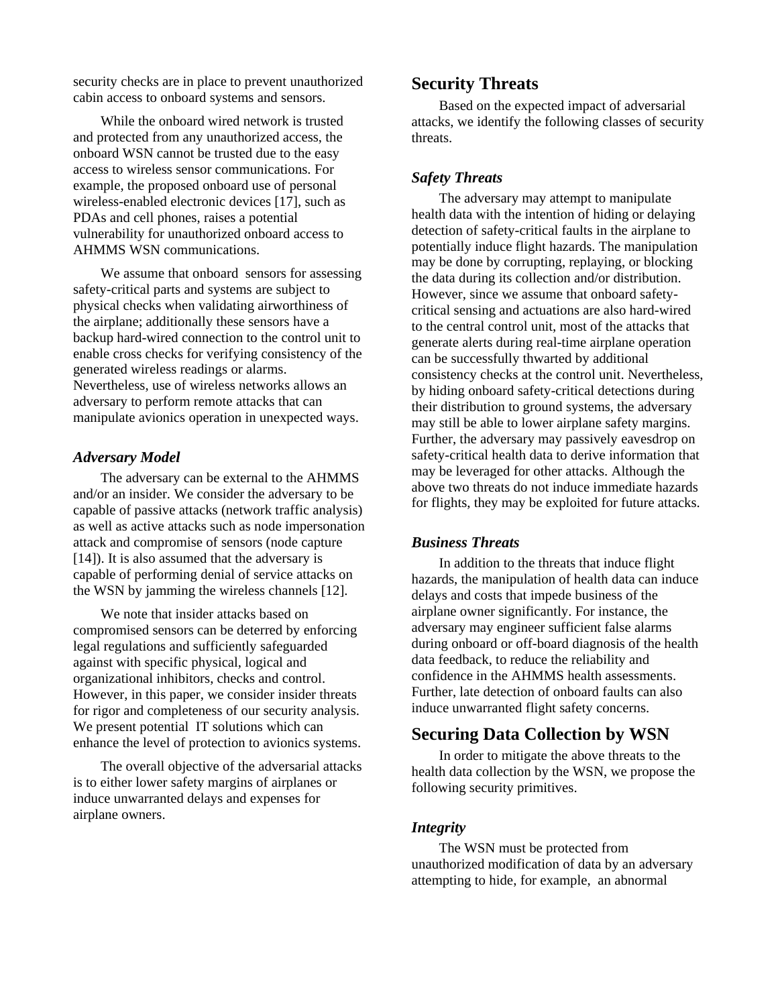security checks are in place to prevent unauthorized cabin access to onboard systems and sensors.

While the onboard wired network is trusted and protected from any unauthorized access, the onboard WSN cannot be trusted due to the easy access to wireless sensor communications. For example, the proposed onboard use of personal wireless-enabled electronic devices [17], such as PDAs and cell phones, raises a potential vulnerability for unauthorized onboard access to AHMMS WSN communications.

We assume that onboard sensors for assessing safety-critical parts and systems are subject to physical checks when validating airworthiness of the airplane; additionally these sensors have a backup hard-wired connection to the control unit to enable cross checks for verifying consistency of the generated wireless readings or alarms. Nevertheless, use of wireless networks allows an adversary to perform remote attacks that can manipulate avionics operation in unexpected ways.

#### *Adversary Model*

The adversary can be external to the AHMMS and/or an insider. We consider the adversary to be capable of passive attacks (network traffic analysis) as well as active attacks such as node impersonation attack and compromise of sensors (node capture [14]). It is also assumed that the adversary is capable of performing denial of service attacks on the WSN by jamming the wireless channels [12].

We note that insider attacks based on compromised sensors can be deterred by enforcing legal regulations and sufficiently safeguarded against with specific physical, logical and organizational inhibitors, checks and control. However, in this paper, we consider insider threats for rigor and completeness of our security analysis. We present potential IT solutions which can enhance the level of protection to avionics systems.

The overall objective of the adversarial attacks is to either lower safety margins of airplanes or induce unwarranted delays and expenses for airplane owners.

## **Security Threats**

Based on the expected impact of adversarial attacks, we identify the following classes of security threats.

#### *Safety Threats*

The adversary may attempt to manipulate health data with the intention of hiding or delaying detection of safety-critical faults in the airplane to potentially induce flight hazards. The manipulation may be done by corrupting, replaying, or blocking the data during its collection and/or distribution. However, since we assume that onboard safetycritical sensing and actuations are also hard-wired to the central control unit, most of the attacks that generate alerts during real-time airplane operation can be successfully thwarted by additional consistency checks at the control unit. Nevertheless, by hiding onboard safety-critical detections during their distribution to ground systems, the adversary may still be able to lower airplane safety margins. Further, the adversary may passively eavesdrop on safety-critical health data to derive information that may be leveraged for other attacks. Although the above two threats do not induce immediate hazards for flights, they may be exploited for future attacks.

### *Business Threats*

In addition to the threats that induce flight hazards, the manipulation of health data can induce delays and costs that impede business of the airplane owner significantly. For instance, the adversary may engineer sufficient false alarms during onboard or off-board diagnosis of the health data feedback, to reduce the reliability and confidence in the AHMMS health assessments. Further, late detection of onboard faults can also induce unwarranted flight safety concerns.

# **Securing Data Collection by WSN**

In order to mitigate the above threats to the health data collection by the WSN, we propose the following security primitives.

#### *Integrity*

The WSN must be protected from unauthorized modification of data by an adversary attempting to hide, for example, an abnormal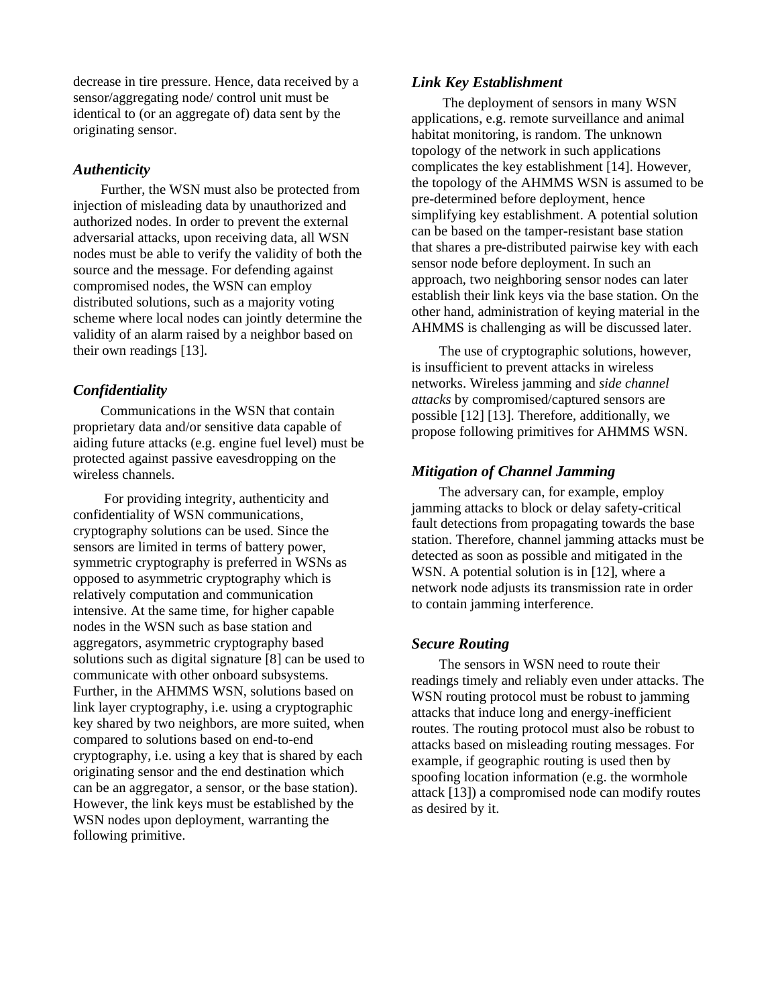decrease in tire pressure. Hence, data received by a sensor/aggregating node/ control unit must be identical to (or an aggregate of) data sent by the originating sensor.

#### *Authenticity*

Further, the WSN must also be protected from injection of misleading data by unauthorized and authorized nodes. In order to prevent the external adversarial attacks, upon receiving data, all WSN nodes must be able to verify the validity of both the source and the message. For defending against compromised nodes, the WSN can employ distributed solutions, such as a majority voting scheme where local nodes can jointly determine the validity of an alarm raised by a neighbor based on their own readings [13].

#### *Confidentiality*

Communications in the WSN that contain proprietary data and/or sensitive data capable of aiding future attacks (e.g. engine fuel level) must be protected against passive eavesdropping on the wireless channels.

For providing integrity, authenticity and confidentiality of WSN communications, cryptography solutions can be used. Since the sensors are limited in terms of battery power, symmetric cryptography is preferred in WSNs as opposed to asymmetric cryptography which is relatively computation and communication intensive. At the same time, for higher capable nodes in the WSN such as base station and aggregators, asymmetric cryptography based solutions such as digital signature [8] can be used to communicate with other onboard subsystems. Further, in the AHMMS WSN, solutions based on link layer cryptography, i.e. using a cryptographic key shared by two neighbors, are more suited, when compared to solutions based on end-to-end cryptography, i.e. using a key that is shared by each originating sensor and the end destination which can be an aggregator, a sensor, or the base station). However, the link keys must be established by the WSN nodes upon deployment, warranting the following primitive.

#### *Link Key Establishment*

The deployment of sensors in many WSN applications, e.g. remote surveillance and animal habitat monitoring, is random. The unknown topology of the network in such applications complicates the key establishment [14]. However, the topology of the AHMMS WSN is assumed to be pre-determined before deployment, hence simplifying key establishment. A potential solution can be based on the tamper-resistant base station that shares a pre-distributed pairwise key with each sensor node before deployment. In such an approach, two neighboring sensor nodes can later establish their link keys via the base station. On the other hand, administration of keying material in the AHMMS is challenging as will be discussed later.

The use of cryptographic solutions, however, is insufficient to prevent attacks in wireless networks. Wireless jamming and *side channel attacks* by compromised/captured sensors are possible [12] [13]. Therefore, additionally, we propose following primitives for AHMMS WSN.

#### *Mitigation of Channel Jamming*

The adversary can, for example, employ jamming attacks to block or delay safety-critical fault detections from propagating towards the base station. Therefore, channel jamming attacks must be detected as soon as possible and mitigated in the WSN. A potential solution is in [12], where a network node adjusts its transmission rate in order to contain jamming interference.

#### *Secure Routing*

The sensors in WSN need to route their readings timely and reliably even under attacks. The WSN routing protocol must be robust to jamming attacks that induce long and energy-inefficient routes. The routing protocol must also be robust to attacks based on misleading routing messages. For example, if geographic routing is used then by spoofing location information (e.g. the wormhole attack [13]) a compromised node can modify routes as desired by it.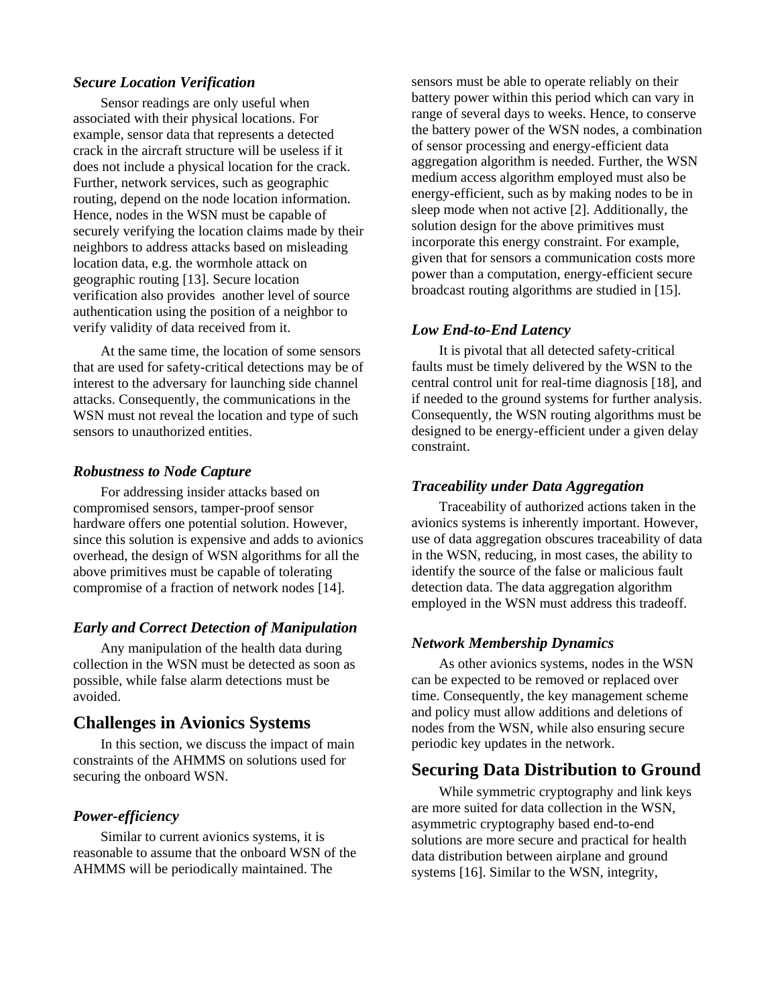#### *Secure Location Verification*

Sensor readings are only useful when associated with their physical locations. For example, sensor data that represents a detected crack in the aircraft structure will be useless if it does not include a physical location for the crack. Further, network services, such as geographic routing, depend on the node location information. Hence, nodes in the WSN must be capable of securely verifying the location claims made by their neighbors to address attacks based on misleading location data, e.g. the wormhole attack on geographic routing [13]. Secure location verification also provides another level of source authentication using the position of a neighbor to verify validity of data received from it.

At the same time, the location of some sensors that are used for safety-critical detections may be of interest to the adversary for launching side channel attacks. Consequently, the communications in the WSN must not reveal the location and type of such sensors to unauthorized entities.

#### *Robustness to Node Capture*

For addressing insider attacks based on compromised sensors, tamper-proof sensor hardware offers one potential solution. However, since this solution is expensive and adds to avionics overhead, the design of WSN algorithms for all the above primitives must be capable of tolerating compromise of a fraction of network nodes [14].

### *Early and Correct Detection of Manipulation*

Any manipulation of the health data during collection in the WSN must be detected as soon as possible, while false alarm detections must be avoided.

### **Challenges in Avionics Systems**

In this section, we discuss the impact of main constraints of the AHMMS on solutions used for securing the onboard WSN.

### *Power-efficiency*

Similar to current avionics systems, it is reasonable to assume that the onboard WSN of the AHMMS will be periodically maintained. The

sensors must be able to operate reliably on their battery power within this period which can vary in range of several days to weeks. Hence, to conserve the battery power of the WSN nodes, a combination of sensor processing and energy-efficient data aggregation algorithm is needed. Further, the WSN medium access algorithm employed must also be energy-efficient, such as by making nodes to be in sleep mode when not active [2]. Additionally, the solution design for the above primitives must incorporate this energy constraint. For example, given that for sensors a communication costs more power than a computation, energy-efficient secure broadcast routing algorithms are studied in [15].

#### *Low End-to-End Latency*

It is pivotal that all detected safety-critical faults must be timely delivered by the WSN to the central control unit for real-time diagnosis [18], and if needed to the ground systems for further analysis. Consequently, the WSN routing algorithms must be designed to be energy-efficient under a given delay constraint.

#### *Traceability under Data Aggregation*

Traceability of authorized actions taken in the avionics systems is inherently important. However, use of data aggregation obscures traceability of data in the WSN, reducing, in most cases, the ability to identify the source of the false or malicious fault detection data. The data aggregation algorithm employed in the WSN must address this tradeoff.

### *Network Membership Dynamics*

As other avionics systems, nodes in the WSN can be expected to be removed or replaced over time. Consequently, the key management scheme and policy must allow additions and deletions of nodes from the WSN, while also ensuring secure periodic key updates in the network.

### **Securing Data Distribution to Ground**

While symmetric cryptography and link keys are more suited for data collection in the WSN, asymmetric cryptography based end-to-end solutions are more secure and practical for health data distribution between airplane and ground systems [16]. Similar to the WSN, integrity,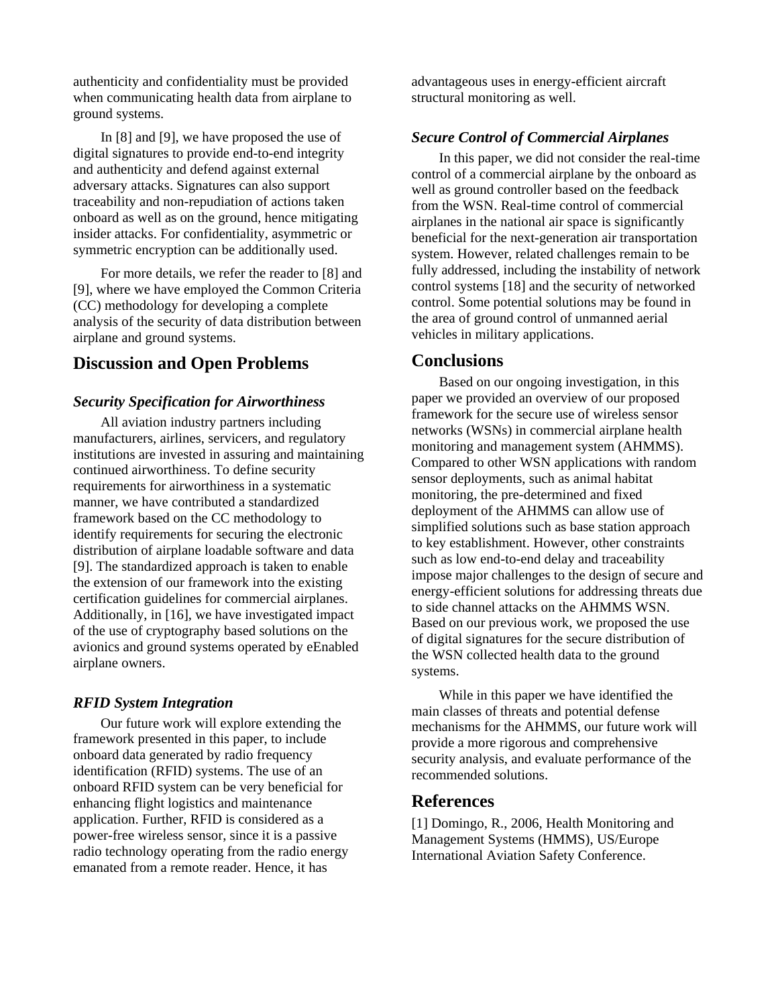authenticity and confidentiality must be provided when communicating health data from airplane to ground systems.

In [8] and [9], we have proposed the use of digital signatures to provide end-to-end integrity and authenticity and defend against external adversary attacks. Signatures can also support traceability and non-repudiation of actions taken onboard as well as on the ground, hence mitigating insider attacks. For confidentiality, asymmetric or symmetric encryption can be additionally used.

For more details, we refer the reader to [8] and [9], where we have employed the Common Criteria (CC) methodology for developing a complete analysis of the security of data distribution between airplane and ground systems.

## **Discussion and Open Problems**

### *Security Specification for Airworthiness*

All aviation industry partners including manufacturers, airlines, servicers, and regulatory institutions are invested in assuring and maintaining continued airworthiness. To define security requirements for airworthiness in a systematic manner, we have contributed a standardized framework based on the CC methodology to identify requirements for securing the electronic distribution of airplane loadable software and data [9]. The standardized approach is taken to enable the extension of our framework into the existing certification guidelines for commercial airplanes. Additionally, in [16], we have investigated impact of the use of cryptography based solutions on the avionics and ground systems operated by eEnabled airplane owners.

#### *RFID System Integration*

Our future work will explore extending the framework presented in this paper, to include onboard data generated by radio frequency identification (RFID) systems. The use of an onboard RFID system can be very beneficial for enhancing flight logistics and maintenance application. Further, RFID is considered as a power-free wireless sensor, since it is a passive radio technology operating from the radio energy emanated from a remote reader. Hence, it has

advantageous uses in energy-efficient aircraft structural monitoring as well.

### *Secure Control of Commercial Airplanes*

In this paper, we did not consider the real-time control of a commercial airplane by the onboard as well as ground controller based on the feedback from the WSN. Real-time control of commercial airplanes in the national air space is significantly beneficial for the next-generation air transportation system. However, related challenges remain to be fully addressed, including the instability of network control systems [18] and the security of networked control. Some potential solutions may be found in the area of ground control of unmanned aerial vehicles in military applications.

## **Conclusions**

Based on our ongoing investigation, in this paper we provided an overview of our proposed framework for the secure use of wireless sensor networks (WSNs) in commercial airplane health monitoring and management system (AHMMS). Compared to other WSN applications with random sensor deployments, such as animal habitat monitoring, the pre-determined and fixed deployment of the AHMMS can allow use of simplified solutions such as base station approach to key establishment. However, other constraints such as low end-to-end delay and traceability impose major challenges to the design of secure and energy-efficient solutions for addressing threats due to side channel attacks on the AHMMS WSN. Based on our previous work, we proposed the use of digital signatures for the secure distribution of the WSN collected health data to the ground systems.

While in this paper we have identified the main classes of threats and potential defense mechanisms for the AHMMS, our future work will provide a more rigorous and comprehensive security analysis, and evaluate performance of the recommended solutions.

### **References**

[1] Domingo, R., 2006, Health Monitoring and Management Systems (HMMS), US/Europe International Aviation Safety Conference.